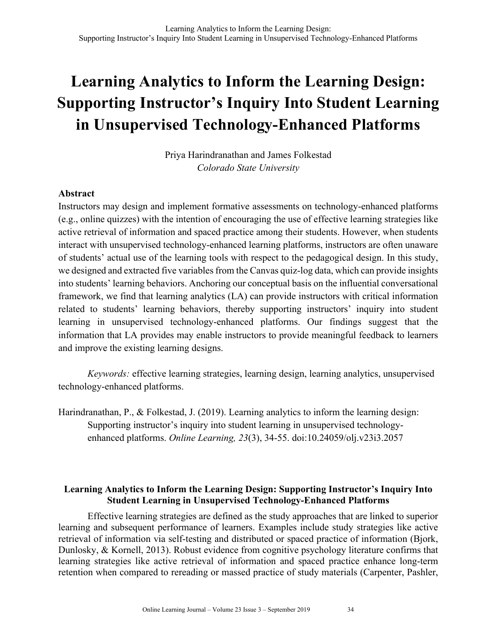Priya Harindranathan and James Folkestad *Colorado State University*

## **Abstract**

Instructors may design and implement formative assessments on technology-enhanced platforms (e.g., online quizzes) with the intention of encouraging the use of effective learning strategies like active retrieval of information and spaced practice among their students. However, when students interact with unsupervised technology-enhanced learning platforms, instructors are often unaware of students' actual use of the learning tools with respect to the pedagogical design. In this study, we designed and extracted five variables from the Canvas quiz-log data, which can provide insights into students' learning behaviors. Anchoring our conceptual basis on the influential conversational framework, we find that learning analytics (LA) can provide instructors with critical information related to students' learning behaviors, thereby supporting instructors' inquiry into student learning in unsupervised technology-enhanced platforms. Our findings suggest that the information that LA provides may enable instructors to provide meaningful feedback to learners and improve the existing learning designs.

*Keywords:* effective learning strategies, learning design, learning analytics, unsupervised technology-enhanced platforms.

Harindranathan, P., & Folkestad, J. (2019). Learning analytics to inform the learning design: Supporting instructor's inquiry into student learning in unsupervised technologyenhanced platforms. *Online Learning, 23*(3), 34-55. doi:10.24059/olj.v23i3.2057

## **Learning Analytics to Inform the Learning Design: Supporting Instructor's Inquiry Into Student Learning in Unsupervised Technology-Enhanced Platforms**

Effective learning strategies are defined as the study approaches that are linked to superior learning and subsequent performance of learners. Examples include study strategies like active retrieval of information via self-testing and distributed or spaced practice of information (Bjork, Dunlosky, & Kornell, 2013). Robust evidence from cognitive psychology literature confirms that learning strategies like active retrieval of information and spaced practice enhance long-term retention when compared to rereading or massed practice of study materials (Carpenter, Pashler,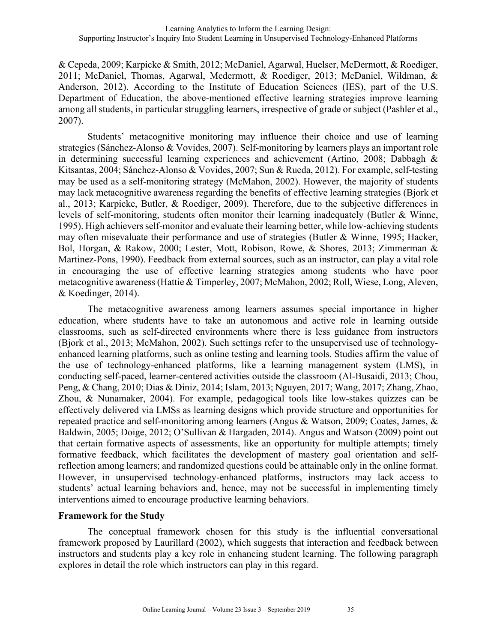& Cepeda, 2009; Karpicke & Smith, 2012; McDaniel, Agarwal, Huelser, McDermott, & Roediger, 2011; McDaniel, Thomas, Agarwal, Mcdermott, & Roediger, 2013; McDaniel, Wildman, & Anderson, 2012). According to the Institute of Education Sciences (IES), part of the U.S. Department of Education, the above-mentioned effective learning strategies improve learning among all students, in particular struggling learners, irrespective of grade or subject (Pashler et al., 2007).

Students' metacognitive monitoring may influence their choice and use of learning strategies (Sánchez-Alonso & Vovides, 2007). Self-monitoring by learners plays an important role in determining successful learning experiences and achievement (Artino, 2008; Dabbagh & Kitsantas, 2004; Sánchez-Alonso & Vovides, 2007; Sun & Rueda, 2012). For example, self-testing may be used as a self-monitoring strategy (McMahon, 2002). However, the majority of students may lack metacognitive awareness regarding the benefits of effective learning strategies (Bjork et al., 2013; Karpicke, Butler, & Roediger, 2009). Therefore, due to the subjective differences in levels of self-monitoring, students often monitor their learning inadequately (Butler & Winne, 1995). High achievers self-monitor and evaluate their learning better, while low-achieving students may often misevaluate their performance and use of strategies (Butler & Winne, 1995; Hacker, Bol, Horgan, & Rakow, 2000; Lester, Mott, Robison, Rowe, & Shores, 2013; Zimmerman & Martinez-Pons, 1990). Feedback from external sources, such as an instructor, can play a vital role in encouraging the use of effective learning strategies among students who have poor metacognitive awareness (Hattie & Timperley, 2007; McMahon, 2002; Roll, Wiese, Long, Aleven, & Koedinger, 2014).

The metacognitive awareness among learners assumes special importance in higher education, where students have to take an autonomous and active role in learning outside classrooms, such as self-directed environments where there is less guidance from instructors (Bjork et al., 2013; McMahon, 2002). Such settings refer to the unsupervised use of technologyenhanced learning platforms, such as online testing and learning tools. Studies affirm the value of the use of technology-enhanced platforms, like a learning management system (LMS), in conducting self-paced, learner-centered activities outside the classroom (Al-Busaidi, 2013; Chou, Peng, & Chang, 2010; Dias & Diniz, 2014; Islam, 2013; Nguyen, 2017; Wang, 2017; Zhang, Zhao, Zhou, & Nunamaker, 2004). For example, pedagogical tools like low-stakes quizzes can be effectively delivered via LMSs as learning designs which provide structure and opportunities for repeated practice and self-monitoring among learners (Angus & Watson, 2009; Coates, James, & Baldwin, 2005; Doige, 2012; O'Sullivan & Hargaden, 2014). Angus and Watson (2009) point out that certain formative aspects of assessments, like an opportunity for multiple attempts; timely formative feedback, which facilitates the development of mastery goal orientation and selfreflection among learners; and randomized questions could be attainable only in the online format. However, in unsupervised technology-enhanced platforms, instructors may lack access to students' actual learning behaviors and, hence, may not be successful in implementing timely interventions aimed to encourage productive learning behaviors.

## **Framework for the Study**

The conceptual framework chosen for this study is the influential conversational framework proposed by Laurillard (2002), which suggests that interaction and feedback between instructors and students play a key role in enhancing student learning. The following paragraph explores in detail the role which instructors can play in this regard.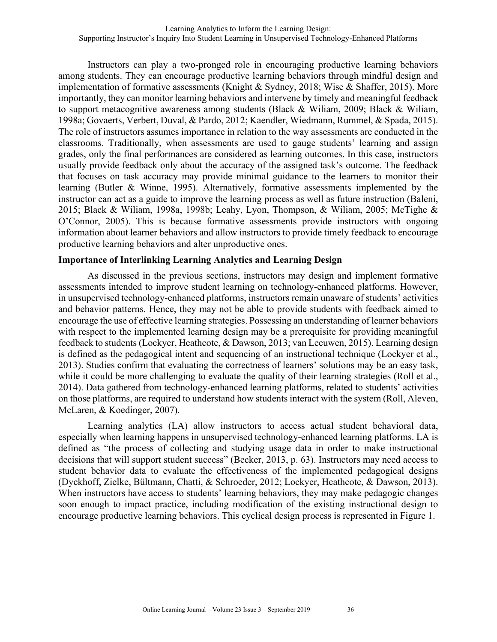Instructors can play a two-pronged role in encouraging productive learning behaviors among students. They can encourage productive learning behaviors through mindful design and implementation of formative assessments (Knight & Sydney, 2018; Wise & Shaffer, 2015). More importantly, they can monitor learning behaviors and intervene by timely and meaningful feedback to support metacognitive awareness among students (Black & Wiliam, 2009; Black & Wiliam, 1998a; Govaerts, Verbert, Duval, & Pardo, 2012; Kaendler, Wiedmann, Rummel, & Spada, 2015). The role of instructors assumes importance in relation to the way assessments are conducted in the classrooms. Traditionally, when assessments are used to gauge students' learning and assign grades, only the final performances are considered as learning outcomes. In this case, instructors usually provide feedback only about the accuracy of the assigned task's outcome. The feedback that focuses on task accuracy may provide minimal guidance to the learners to monitor their learning (Butler & Winne, 1995). Alternatively, formative assessments implemented by the instructor can act as a guide to improve the learning process as well as future instruction (Baleni, 2015; Black & Wiliam, 1998a, 1998b; Leahy, Lyon, Thompson, & Wiliam, 2005; McTighe & O'Connor, 2005). This is because formative assessments provide instructors with ongoing information about learner behaviors and allow instructors to provide timely feedback to encourage productive learning behaviors and alter unproductive ones.

### **Importance of Interlinking Learning Analytics and Learning Design**

As discussed in the previous sections, instructors may design and implement formative assessments intended to improve student learning on technology-enhanced platforms. However, in unsupervised technology-enhanced platforms, instructors remain unaware of students' activities and behavior patterns. Hence, they may not be able to provide students with feedback aimed to encourage the use of effective learning strategies. Possessing an understanding of learner behaviors with respect to the implemented learning design may be a prerequisite for providing meaningful feedback to students (Lockyer, Heathcote, & Dawson, 2013; van Leeuwen, 2015). Learning design is defined as the pedagogical intent and sequencing of an instructional technique (Lockyer et al., 2013). Studies confirm that evaluating the correctness of learners' solutions may be an easy task, while it could be more challenging to evaluate the quality of their learning strategies (Roll et al., 2014). Data gathered from technology-enhanced learning platforms, related to students' activities on those platforms, are required to understand how students interact with the system (Roll, Aleven, McLaren, & Koedinger, 2007).

Learning analytics (LA) allow instructors to access actual student behavioral data, especially when learning happens in unsupervised technology-enhanced learning platforms. LA is defined as "the process of collecting and studying usage data in order to make instructional decisions that will support student success" (Becker, 2013, p. 63). Instructors may need access to student behavior data to evaluate the effectiveness of the implemented pedagogical designs (Dyckhoff, Zielke, Bültmann, Chatti, & Schroeder, 2012; Lockyer, Heathcote, & Dawson, 2013). When instructors have access to students' learning behaviors, they may make pedagogic changes soon enough to impact practice, including modification of the existing instructional design to encourage productive learning behaviors. This cyclical design process is represented in Figure 1.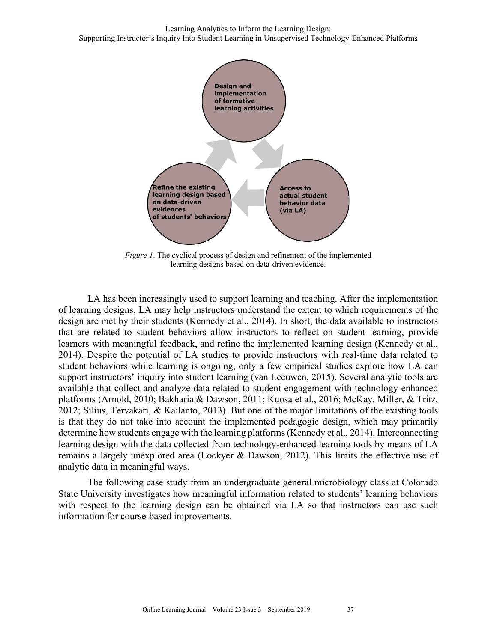

*Figure 1*. The cyclical process of design and refinement of the implemented learning designs based on data-driven evidence.

LA has been increasingly used to support learning and teaching. After the implementation of learning designs, LA may help instructors understand the extent to which requirements of the design are met by their students (Kennedy et al., 2014). In short, the data available to instructors that are related to student behaviors allow instructors to reflect on student learning, provide learners with meaningful feedback, and refine the implemented learning design (Kennedy et al., 2014). Despite the potential of LA studies to provide instructors with real-time data related to student behaviors while learning is ongoing, only a few empirical studies explore how LA can support instructors' inquiry into student learning (van Leeuwen, 2015). Several analytic tools are available that collect and analyze data related to student engagement with technology-enhanced platforms (Arnold, 2010; Bakharia & Dawson, 2011; Kuosa et al., 2016; McKay, Miller, & Tritz, 2012; Silius, Tervakari, & Kailanto, 2013). But one of the major limitations of the existing tools is that they do not take into account the implemented pedagogic design, which may primarily determine how students engage with the learning platforms (Kennedy et al., 2014). Interconnecting learning design with the data collected from technology-enhanced learning tools by means of LA remains a largely unexplored area (Lockyer & Dawson, 2012). This limits the effective use of analytic data in meaningful ways.

The following case study from an undergraduate general microbiology class at Colorado State University investigates how meaningful information related to students' learning behaviors with respect to the learning design can be obtained via LA so that instructors can use such information for course-based improvements.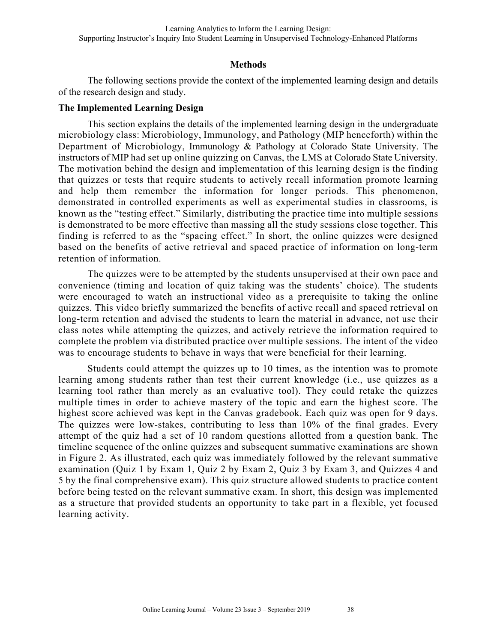#### **Methods**

The following sections provide the context of the implemented learning design and details of the research design and study.

#### **The Implemented Learning Design**

This section explains the details of the implemented learning design in the undergraduate microbiology class: Microbiology, Immunology, and Pathology (MIP henceforth) within the Department of Microbiology, Immunology & Pathology at Colorado State University. The instructors of MIP had set up online quizzing on Canvas, the LMS at Colorado State University. The motivation behind the design and implementation of this learning design is the finding that quizzes or tests that require students to actively recall information promote learning and help them remember the information for longer periods. This phenomenon, demonstrated in controlled experiments as well as experimental studies in classrooms, is known as the "testing effect." Similarly, distributing the practice time into multiple sessions is demonstrated to be more effective than massing all the study sessions close together. This finding is referred to as the "spacing effect." In short, the online quizzes were designed based on the benefits of active retrieval and spaced practice of information on long-term retention of information.

The quizzes were to be attempted by the students unsupervised at their own pace and convenience (timing and location of quiz taking was the students' choice). The students were encouraged to watch an instructional video as a prerequisite to taking the online quizzes. This video briefly summarized the benefits of active recall and spaced retrieval on long-term retention and advised the students to learn the material in advance, not use their class notes while attempting the quizzes, and actively retrieve the information required to complete the problem via distributed practice over multiple sessions. The intent of the video was to encourage students to behave in ways that were beneficial for their learning.

Students could attempt the quizzes up to 10 times, as the intention was to promote learning among students rather than test their current knowledge (i.e., use quizzes as a learning tool rather than merely as an evaluative tool). They could retake the quizzes multiple times in order to achieve mastery of the topic and earn the highest score. The highest score achieved was kept in the Canvas gradebook. Each quiz was open for 9 days. The quizzes were low-stakes, contributing to less than 10% of the final grades. Every attempt of the quiz had a set of 10 random questions allotted from a question bank. The timeline sequence of the online quizzes and subsequent summative examinations are shown in Figure 2. As illustrated, each quiz was immediately followed by the relevant summative examination (Quiz 1 by Exam 1, Quiz 2 by Exam 2, Quiz 3 by Exam 3, and Quizzes 4 and 5 by the final comprehensive exam). This quiz structure allowed students to practice content before being tested on the relevant summative exam. In short, this design was implemented as a structure that provided students an opportunity to take part in a flexible, yet focused learning activity.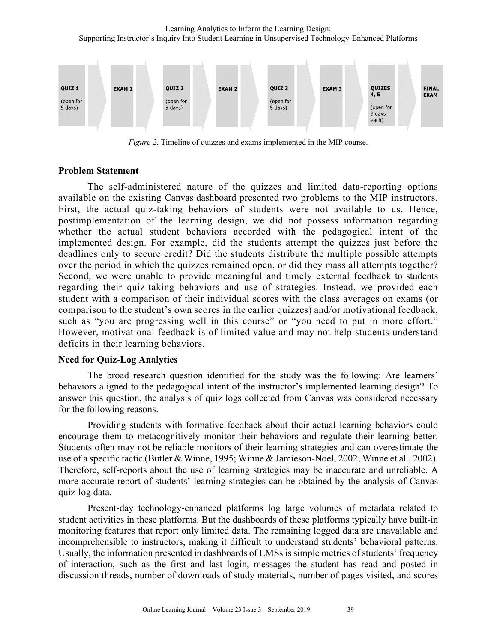

*Figure 2*. Timeline of quizzes and exams implemented in the MIP course.

#### **Problem Statement**

The self-administered nature of the quizzes and limited data-reporting options available on the existing Canvas dashboard presented two problems to the MIP instructors. First, the actual quiz-taking behaviors of students were not available to us. Hence, postimplementation of the learning design, we did not possess information regarding whether the actual student behaviors accorded with the pedagogical intent of the implemented design. For example, did the students attempt the quizzes just before the deadlines only to secure credit? Did the students distribute the multiple possible attempts over the period in which the quizzes remained open, or did they mass all attempts together? Second, we were unable to provide meaningful and timely external feedback to students regarding their quiz-taking behaviors and use of strategies. Instead, we provided each student with a comparison of their individual scores with the class averages on exams (or comparison to the student's own scores in the earlier quizzes) and/or motivational feedback, such as "you are progressing well in this course" or "you need to put in more effort." However, motivational feedback is of limited value and may not help students understand deficits in their learning behaviors.

#### **Need for Quiz-Log Analytics**

The broad research question identified for the study was the following: Are learners' behaviors aligned to the pedagogical intent of the instructor's implemented learning design? To answer this question, the analysis of quiz logs collected from Canvas was considered necessary for the following reasons.

Providing students with formative feedback about their actual learning behaviors could encourage them to metacognitively monitor their behaviors and regulate their learning better. Students often may not be reliable monitors of their learning strategies and can overestimate the use of a specific tactic (Butler & Winne, 1995; Winne & Jamieson-Noel, 2002; Winne et al., 2002). Therefore, self-reports about the use of learning strategies may be inaccurate and unreliable. A more accurate report of students' learning strategies can be obtained by the analysis of Canvas quiz-log data.

Present-day technology-enhanced platforms log large volumes of metadata related to student activities in these platforms. But the dashboards of these platforms typically have built-in monitoring features that report only limited data. The remaining logged data are unavailable and incomprehensible to instructors, making it difficult to understand students' behavioral patterns. Usually, the information presented in dashboards of LMSs is simple metrics of students' frequency of interaction, such as the first and last login, messages the student has read and posted in discussion threads, number of downloads of study materials, number of pages visited, and scores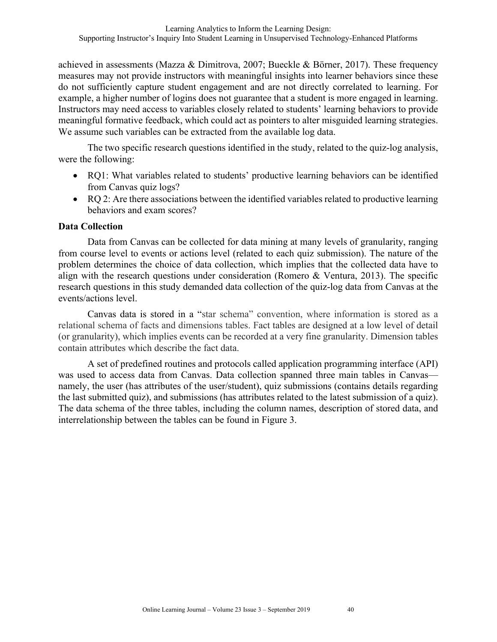achieved in assessments (Mazza & Dimitrova, 2007; Bueckle & Börner, 2017). These frequency measures may not provide instructors with meaningful insights into learner behaviors since these do not sufficiently capture student engagement and are not directly correlated to learning. For example, a higher number of logins does not guarantee that a student is more engaged in learning. Instructors may need access to variables closely related to students' learning behaviors to provide meaningful formative feedback, which could act as pointers to alter misguided learning strategies. We assume such variables can be extracted from the available log data.

The two specific research questions identified in the study, related to the quiz-log analysis, were the following:

- RQ1: What variables related to students' productive learning behaviors can be identified from Canvas quiz logs?
- RQ 2: Are there associations between the identified variables related to productive learning behaviors and exam scores?

## **Data Collection**

Data from Canvas can be collected for data mining at many levels of granularity, ranging from course level to events or actions level (related to each quiz submission). The nature of the problem determines the choice of data collection, which implies that the collected data have to align with the research questions under consideration (Romero & Ventura, 2013). The specific research questions in this study demanded data collection of the quiz-log data from Canvas at the events/actions level.

Canvas data is stored in a "star schema" convention, where information is stored as a relational schema of facts and dimensions tables. Fact tables are designed at a low level of detail (or granularity), which implies events can be recorded at a very fine granularity. Dimension tables contain attributes which describe the fact data.

A set of predefined routines and protocols called application programming interface (API) was used to access data from Canvas. Data collection spanned three main tables in Canvas namely, the user (has attributes of the user/student), quiz submissions (contains details regarding the last submitted quiz), and submissions (has attributes related to the latest submission of a quiz). The data schema of the three tables, including the column names, description of stored data, and interrelationship between the tables can be found in Figure 3.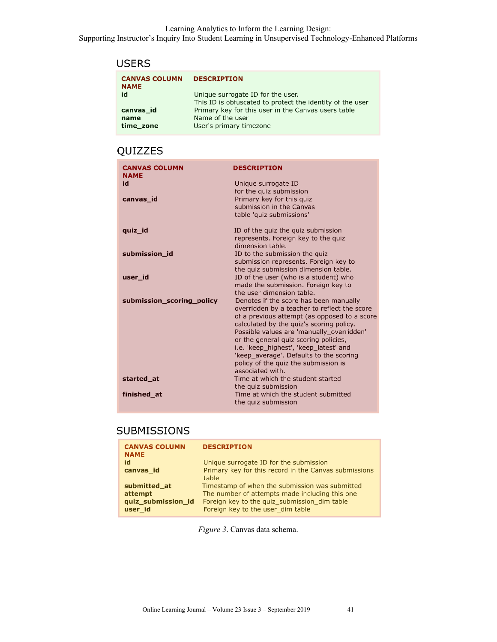## **USERS**

| <b>CANVAS COLUMN</b><br><b>NAME</b> | <b>DESCRIPTION</b>                                                                             |
|-------------------------------------|------------------------------------------------------------------------------------------------|
| id                                  | Unique surrogate ID for the user.<br>This ID is obfuscated to protect the identity of the user |
| canvas id                           | Primary key for this user in the Canvas users table                                            |
| name                                | Name of the user                                                                               |
| time zone                           | User's primary timezone                                                                        |

## QUIZZES

| <b>CANVAS COLUMN</b><br><b>NAME</b> | <b>DESCRIPTION</b>                                                                                                                                                                                                                                                                                                                                                                                                        |
|-------------------------------------|---------------------------------------------------------------------------------------------------------------------------------------------------------------------------------------------------------------------------------------------------------------------------------------------------------------------------------------------------------------------------------------------------------------------------|
| id                                  | Unique surrogate ID<br>for the quiz submission                                                                                                                                                                                                                                                                                                                                                                            |
| canvas id                           | Primary key for this quiz<br>submission in the Canvas<br>table 'quiz submissions'                                                                                                                                                                                                                                                                                                                                         |
| quiz_id                             | ID of the quiz the quiz submission<br>represents. Foreign key to the quiz<br>dimension table.                                                                                                                                                                                                                                                                                                                             |
| submission id                       | ID to the submission the quiz<br>submission represents. Foreign key to<br>the quiz submission dimension table.                                                                                                                                                                                                                                                                                                            |
| user_id                             | ID of the user (who is a student) who<br>made the submission. Foreign key to<br>the user dimension table.                                                                                                                                                                                                                                                                                                                 |
| submission scoring policy           | Denotes if the score has been manually<br>overridden by a teacher to reflect the score<br>of a previous attempt (as opposed to a score<br>calculated by the quiz's scoring policy.<br>Possible values are 'manually overridden'<br>or the general quiz scoring policies,<br>i.e. 'keep_highest', 'keep_latest' and<br>'keep_average'. Defaults to the scoring<br>policy of the quiz the submission is<br>associated with. |
| started at                          | Time at which the student started<br>the quiz submission                                                                                                                                                                                                                                                                                                                                                                  |
| finished at                         | Time at which the student submitted<br>the quiz submission                                                                                                                                                                                                                                                                                                                                                                |

## **SUBMISSIONS**

| <b>DESCRIPTION</b>                                                                |
|-----------------------------------------------------------------------------------|
| Unique surrogate ID for the submission                                            |
| Primary key for this record in the Canvas submissions<br>table                    |
| Timestamp of when the submission was submitted                                    |
| The number of attempts made including this one                                    |
| Foreign key to the quiz_submission_dim table<br>Foreign key to the user dim table |
|                                                                                   |

*Figure 3*. Canvas data schema.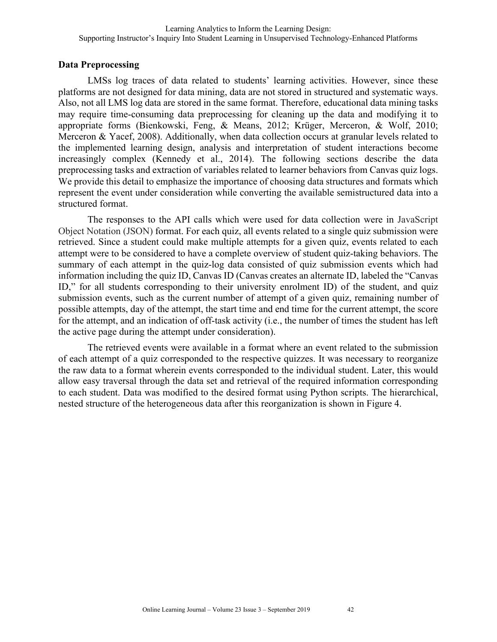## **Data Preprocessing**

LMSs log traces of data related to students' learning activities. However, since these platforms are not designed for data mining, data are not stored in structured and systematic ways. Also, not all LMS log data are stored in the same format. Therefore, educational data mining tasks may require time-consuming data preprocessing for cleaning up the data and modifying it to appropriate forms (Bienkowski, Feng, & Means, 2012; Krüger, Merceron, & Wolf, 2010; Merceron & Yacef, 2008). Additionally, when data collection occurs at granular levels related to the implemented learning design, analysis and interpretation of student interactions become increasingly complex (Kennedy et al., 2014). The following sections describe the data preprocessing tasks and extraction of variables related to learner behaviors from Canvas quiz logs. We provide this detail to emphasize the importance of choosing data structures and formats which represent the event under consideration while converting the available semistructured data into a structured format.

The responses to the API calls which were used for data collection were in JavaScript Object Notation (JSON) format. For each quiz, all events related to a single quiz submission were retrieved. Since a student could make multiple attempts for a given quiz, events related to each attempt were to be considered to have a complete overview of student quiz-taking behaviors. The summary of each attempt in the quiz-log data consisted of quiz submission events which had information including the quiz ID, Canvas ID (Canvas creates an alternate ID, labeled the "Canvas ID," for all students corresponding to their university enrolment ID) of the student, and quiz submission events, such as the current number of attempt of a given quiz, remaining number of possible attempts, day of the attempt, the start time and end time for the current attempt, the score for the attempt, and an indication of off-task activity (i.e., the number of times the student has left the active page during the attempt under consideration).

The retrieved events were available in a format where an event related to the submission of each attempt of a quiz corresponded to the respective quizzes. It was necessary to reorganize the raw data to a format wherein events corresponded to the individual student. Later, this would allow easy traversal through the data set and retrieval of the required information corresponding to each student. Data was modified to the desired format using Python scripts. The hierarchical, nested structure of the heterogeneous data after this reorganization is shown in Figure 4.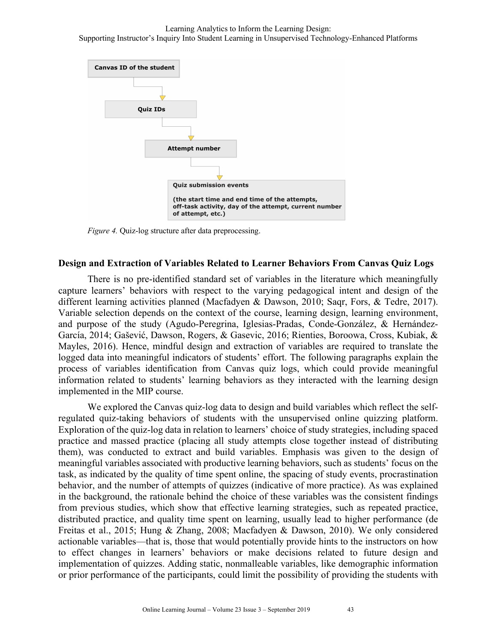

*Figure 4.* Quiz-log structure after data preprocessing.

#### **Design and Extraction of Variables Related to Learner Behaviors From Canvas Quiz Logs**

There is no pre-identified standard set of variables in the literature which meaningfully capture learners' behaviors with respect to the varying pedagogical intent and design of the different learning activities planned (Macfadyen & Dawson, 2010; Saqr, Fors, & Tedre, 2017). Variable selection depends on the context of the course, learning design, learning environment, and purpose of the study (Agudo-Peregrina, Iglesias-Pradas, Conde-González, & Hernández-García, 2014; Gašević, Dawson, Rogers, & Gasevic, 2016; Rienties, Boroowa, Cross, Kubiak, & Mayles, 2016). Hence, mindful design and extraction of variables are required to translate the logged data into meaningful indicators of students' effort. The following paragraphs explain the process of variables identification from Canvas quiz logs, which could provide meaningful information related to students' learning behaviors as they interacted with the learning design implemented in the MIP course.

We explored the Canvas quiz-log data to design and build variables which reflect the selfregulated quiz-taking behaviors of students with the unsupervised online quizzing platform. Exploration of the quiz-log data in relation to learners' choice of study strategies, including spaced practice and massed practice (placing all study attempts close together instead of distributing them), was conducted to extract and build variables. Emphasis was given to the design of meaningful variables associated with productive learning behaviors, such as students' focus on the task, as indicated by the quality of time spent online, the spacing of study events, procrastination behavior, and the number of attempts of quizzes (indicative of more practice). As was explained in the background, the rationale behind the choice of these variables was the consistent findings from previous studies, which show that effective learning strategies, such as repeated practice, distributed practice, and quality time spent on learning, usually lead to higher performance (de Freitas et al., 2015; Hung & Zhang, 2008; Macfadyen & Dawson, 2010). We only considered actionable variables—that is, those that would potentially provide hints to the instructors on how to effect changes in learners' behaviors or make decisions related to future design and implementation of quizzes. Adding static, nonmalleable variables, like demographic information or prior performance of the participants, could limit the possibility of providing the students with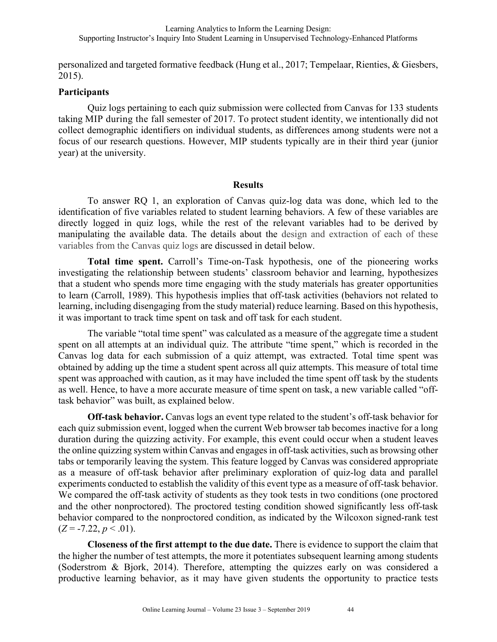personalized and targeted formative feedback (Hung et al., 2017; Tempelaar, Rienties, & Giesbers, 2015).

### **Participants**

Quiz logs pertaining to each quiz submission were collected from Canvas for 133 students taking MIP during the fall semester of 2017. To protect student identity, we intentionally did not collect demographic identifiers on individual students, as differences among students were not a focus of our research questions. However, MIP students typically are in their third year (junior year) at the university.

### **Results**

To answer RQ 1, an exploration of Canvas quiz-log data was done, which led to the identification of five variables related to student learning behaviors. A few of these variables are directly logged in quiz logs, while the rest of the relevant variables had to be derived by manipulating the available data. The details about the design and extraction of each of these variables from the Canvas quiz logs are discussed in detail below.

**Total time spent.** Carroll's Time-on-Task hypothesis, one of the pioneering works investigating the relationship between students' classroom behavior and learning, hypothesizes that a student who spends more time engaging with the study materials has greater opportunities to learn (Carroll, 1989). This hypothesis implies that off-task activities (behaviors not related to learning, including disengaging from the study material) reduce learning. Based on this hypothesis, it was important to track time spent on task and off task for each student.

The variable "total time spent" was calculated as a measure of the aggregate time a student spent on all attempts at an individual quiz. The attribute "time spent," which is recorded in the Canvas log data for each submission of a quiz attempt, was extracted. Total time spent was obtained by adding up the time a student spent across all quiz attempts. This measure of total time spent was approached with caution, as it may have included the time spent off task by the students as well. Hence, to have a more accurate measure of time spent on task, a new variable called "offtask behavior" was built, as explained below.

**Off-task behavior.** Canvas logs an event type related to the student's off-task behavior for each quiz submission event, logged when the current Web browser tab becomes inactive for a long duration during the quizzing activity. For example, this event could occur when a student leaves the online quizzing system within Canvas and engages in off-task activities, such as browsing other tabs or temporarily leaving the system. This feature logged by Canvas was considered appropriate as a measure of off-task behavior after preliminary exploration of quiz-log data and parallel experiments conducted to establish the validity of this event type as a measure of off-task behavior. We compared the off-task activity of students as they took tests in two conditions (one proctored and the other nonproctored). The proctored testing condition showed significantly less off-task behavior compared to the nonproctored condition, as indicated by the Wilcoxon signed-rank test  $(Z = -7.22, p < .01)$ .

**Closeness of the first attempt to the due date.** There is evidence to support the claim that the higher the number of test attempts, the more it potentiates subsequent learning among students (Soderstrom & Bjork, 2014). Therefore, attempting the quizzes early on was considered a productive learning behavior, as it may have given students the opportunity to practice tests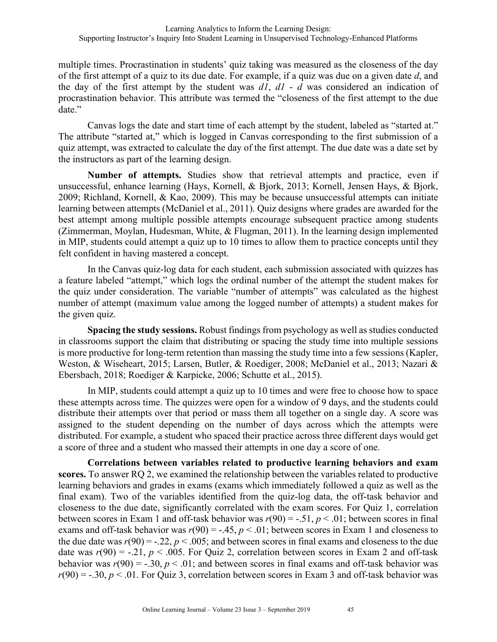multiple times. Procrastination in students' quiz taking was measured as the closeness of the day of the first attempt of a quiz to its due date. For example, if a quiz was due on a given date *d*, and the day of the first attempt by the student was *d1*, *d1* - *d* was considered an indication of procrastination behavior. This attribute was termed the "closeness of the first attempt to the due date."

Canvas logs the date and start time of each attempt by the student, labeled as "started at." The attribute "started at," which is logged in Canvas corresponding to the first submission of a quiz attempt, was extracted to calculate the day of the first attempt. The due date was a date set by the instructors as part of the learning design.

**Number of attempts.** Studies show that retrieval attempts and practice, even if unsuccessful, enhance learning (Hays, Kornell, & Bjork, 2013; Kornell, Jensen Hays, & Bjork, 2009; Richland, Kornell, & Kao, 2009). This may be because unsuccessful attempts can initiate learning between attempts (McDaniel et al., 2011). Quiz designs where grades are awarded for the best attempt among multiple possible attempts encourage subsequent practice among students (Zimmerman, Moylan, Hudesman, White, & Flugman, 2011). In the learning design implemented in MIP, students could attempt a quiz up to 10 times to allow them to practice concepts until they felt confident in having mastered a concept.

In the Canvas quiz-log data for each student, each submission associated with quizzes has a feature labeled "attempt," which logs the ordinal number of the attempt the student makes for the quiz under consideration. The variable "number of attempts" was calculated as the highest number of attempt (maximum value among the logged number of attempts) a student makes for the given quiz.

**Spacing the study sessions.** Robust findings from psychology as well as studies conducted in classrooms support the claim that distributing or spacing the study time into multiple sessions is more productive for long-term retention than massing the study time into a few sessions (Kapler, Weston, & Wiseheart, 2015; Larsen, Butler, & Roediger, 2008; McDaniel et al., 2013; Nazari & Ebersbach, 2018; Roediger & Karpicke, 2006; Schutte et al., 2015).

In MIP, students could attempt a quiz up to 10 times and were free to choose how to space these attempts across time. The quizzes were open for a window of 9 days, and the students could distribute their attempts over that period or mass them all together on a single day. A score was assigned to the student depending on the number of days across which the attempts were distributed. For example, a student who spaced their practice across three different days would get a score of three and a student who massed their attempts in one day a score of one.

**Correlations between variables related to productive learning behaviors and exam scores.** To answer RQ 2, we examined the relationship between the variables related to productive learning behaviors and grades in exams (exams which immediately followed a quiz as well as the final exam). Two of the variables identified from the quiz-log data, the off-task behavior and closeness to the due date, significantly correlated with the exam scores. For Quiz 1, correlation between scores in Exam 1 and off-task behavior was  $r(90) = -0.51$ ,  $p < 0.01$ ; between scores in final exams and off-task behavior was  $r(90) = -.45$ ,  $p < .01$ ; between scores in Exam 1 and closeness to the due date was  $r(90) = -.22$ ,  $p < .005$ ; and between scores in final exams and closeness to the due date was  $r(90) = -.21$ ,  $p < .005$ . For Quiz 2, correlation between scores in Exam 2 and off-task behavior was  $r(90) = -.30, p < .01$ ; and between scores in final exams and off-task behavior was  $r(90) = -.30, p < .01$ . For Quiz 3, correlation between scores in Exam 3 and off-task behavior was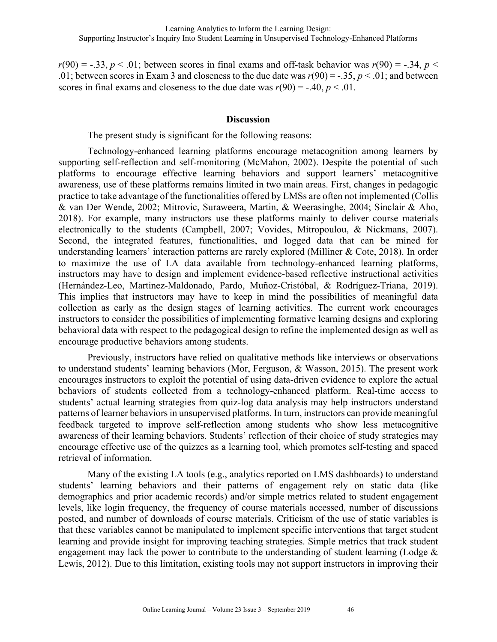$r(90) = -.33, p < .01$ ; between scores in final exams and off-task behavior was  $r(90) = -.34, p <$ .01; between scores in Exam 3 and closeness to the due date was  $r(90) = -.35$ ,  $p < .01$ ; and between scores in final exams and closeness to the due date was  $r(90) = -.40, p < .01$ .

#### **Discussion**

The present study is significant for the following reasons:

Technology-enhanced learning platforms encourage metacognition among learners by supporting self-reflection and self-monitoring (McMahon, 2002). Despite the potential of such platforms to encourage effective learning behaviors and support learners' metacognitive awareness, use of these platforms remains limited in two main areas. First, changes in pedagogic practice to take advantage of the functionalities offered by LMSs are often not implemented (Collis & van Der Wende, 2002; Mitrovic, Suraweera, Martin, & Weerasinghe, 2004; Sinclair & Aho, 2018). For example, many instructors use these platforms mainly to deliver course materials electronically to the students (Campbell, 2007; Vovides, Mitropoulou, & Nickmans, 2007). Second, the integrated features, functionalities, and logged data that can be mined for understanding learners' interaction patterns are rarely explored (Milliner & Cote, 2018). In order to maximize the use of LA data available from technology-enhanced learning platforms, instructors may have to design and implement evidence-based reflective instructional activities (Hernández-Leo, Martinez-Maldonado, Pardo, Muñoz-Cristóbal, & Rodríguez-Triana, 2019). This implies that instructors may have to keep in mind the possibilities of meaningful data collection as early as the design stages of learning activities. The current work encourages instructors to consider the possibilities of implementing formative learning designs and exploring behavioral data with respect to the pedagogical design to refine the implemented design as well as encourage productive behaviors among students.

Previously, instructors have relied on qualitative methods like interviews or observations to understand students' learning behaviors (Mor, Ferguson, & Wasson, 2015). The present work encourages instructors to exploit the potential of using data-driven evidence to explore the actual behaviors of students collected from a technology-enhanced platform. Real-time access to students' actual learning strategies from quiz-log data analysis may help instructors understand patterns of learner behaviors in unsupervised platforms. In turn, instructors can provide meaningful feedback targeted to improve self-reflection among students who show less metacognitive awareness of their learning behaviors. Students' reflection of their choice of study strategies may encourage effective use of the quizzes as a learning tool, which promotes self-testing and spaced retrieval of information.

Many of the existing LA tools (e.g., analytics reported on LMS dashboards) to understand students' learning behaviors and their patterns of engagement rely on static data (like demographics and prior academic records) and/or simple metrics related to student engagement levels, like login frequency, the frequency of course materials accessed, number of discussions posted, and number of downloads of course materials. Criticism of the use of static variables is that these variables cannot be manipulated to implement specific interventions that target student learning and provide insight for improving teaching strategies. Simple metrics that track student engagement may lack the power to contribute to the understanding of student learning (Lodge & Lewis, 2012). Due to this limitation, existing tools may not support instructors in improving their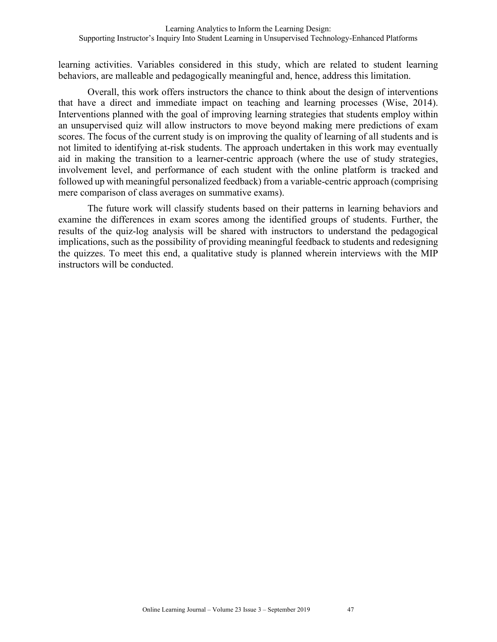learning activities. Variables considered in this study, which are related to student learning behaviors, are malleable and pedagogically meaningful and, hence, address this limitation.

Overall, this work offers instructors the chance to think about the design of interventions that have a direct and immediate impact on teaching and learning processes (Wise, 2014). Interventions planned with the goal of improving learning strategies that students employ within an unsupervised quiz will allow instructors to move beyond making mere predictions of exam scores. The focus of the current study is on improving the quality of learning of all students and is not limited to identifying at-risk students. The approach undertaken in this work may eventually aid in making the transition to a learner-centric approach (where the use of study strategies, involvement level, and performance of each student with the online platform is tracked and followed up with meaningful personalized feedback) from a variable-centric approach (comprising mere comparison of class averages on summative exams).

The future work will classify students based on their patterns in learning behaviors and examine the differences in exam scores among the identified groups of students. Further, the results of the quiz-log analysis will be shared with instructors to understand the pedagogical implications, such as the possibility of providing meaningful feedback to students and redesigning the quizzes. To meet this end, a qualitative study is planned wherein interviews with the MIP instructors will be conducted.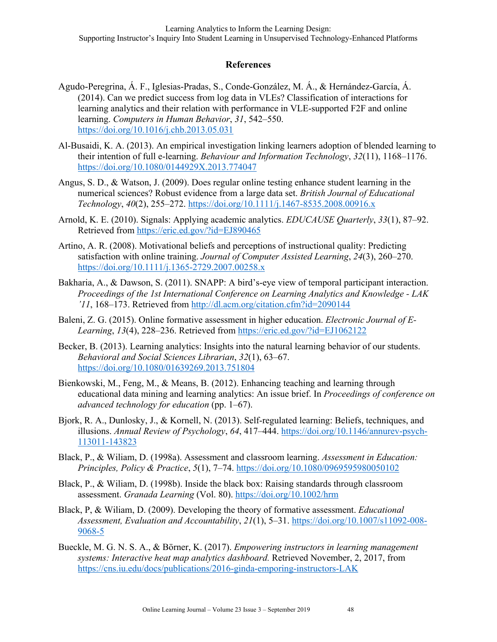## **References**

- Agudo-Peregrina, Á. F., Iglesias-Pradas, S., Conde-González, M. Á., & Hernández-García, Á. (2014). Can we predict success from log data in VLEs? Classification of interactions for learning analytics and their relation with performance in VLE-supported F2F and online learning. *Computers in Human Behavior*, *31*, 542–550. https://doi.org/10.1016/j.chb.2013.05.031
- Al-Busaidi, K. A. (2013). An empirical investigation linking learners adoption of blended learning to their intention of full e-learning. *Behaviour and Information Technology*, *32*(11), 1168–1176. https://doi.org/10.1080/0144929X.2013.774047
- Angus, S. D., & Watson, J. (2009). Does regular online testing enhance student learning in the numerical sciences? Robust evidence from a large data set. *British Journal of Educational Technology*, *40*(2), 255–272. https://doi.org/10.1111/j.1467-8535.2008.00916.x
- Arnold, K. E. (2010). Signals: Applying academic analytics. *EDUCAUSE Quarterly*, *33*(1), 87–92. Retrieved from https://eric.ed.gov/?id=EJ890465
- Artino, A. R. (2008). Motivational beliefs and perceptions of instructional quality: Predicting satisfaction with online training. *Journal of Computer Assisted Learning*, *24*(3), 260–270. https://doi.org/10.1111/j.1365-2729.2007.00258.x
- Bakharia, A., & Dawson, S. (2011). SNAPP: A bird's-eye view of temporal participant interaction. *Proceedings of the 1st International Conference on Learning Analytics and Knowledge - LAK '11*, 168–173. Retrieved from http://dl.acm.org/citation.cfm?id=2090144
- Baleni, Z. G. (2015). Online formative assessment in higher education. *Electronic Journal of E-Learning*, *13*(4), 228–236. Retrieved from https://eric.ed.gov/?id=EJ1062122
- Becker, B. (2013). Learning analytics: Insights into the natural learning behavior of our students. *Behavioral and Social Sciences Librarian*, *32*(1), 63–67. https://doi.org/10.1080/01639269.2013.751804
- Bienkowski, M., Feng, M., & Means, B. (2012). Enhancing teaching and learning through educational data mining and learning analytics: An issue brief. In *Proceedings of conference on advanced technology for education* (pp. 1–67).
- Bjork, R. A., Dunlosky, J., & Kornell, N. (2013). Self-regulated learning: Beliefs, techniques, and illusions. *Annual Review of Psychology*, *64*, 417–444. https://doi.org/10.1146/annurev-psych-113011-143823
- Black, P., & Wiliam, D. (1998a). Assessment and classroom learning. *Assessment in Education: Principles, Policy & Practice*, *5*(1), 7–74. https://doi.org/10.1080/0969595980050102
- Black, P., & Wiliam, D. (1998b). Inside the black box: Raising standards through classroom assessment. *Granada Learning* (Vol. 80). https://doi.org/10.1002/hrm
- Black, P, & Wiliam, D. (2009). Developing the theory of formative assessment. *Educational Assessment, Evaluation and Accountability*, *21*(1), 5–31. https://doi.org/10.1007/s11092-008- 9068-5
- Bueckle, M. G. N. S. A., & Börner, K. (2017). *Empowering instructors in learning management systems: Interactive heat map analytics dashboard.* Retrieved November, 2, 2017, from https://cns.iu.edu/docs/publications/2016-ginda-emporing-instructors-LAK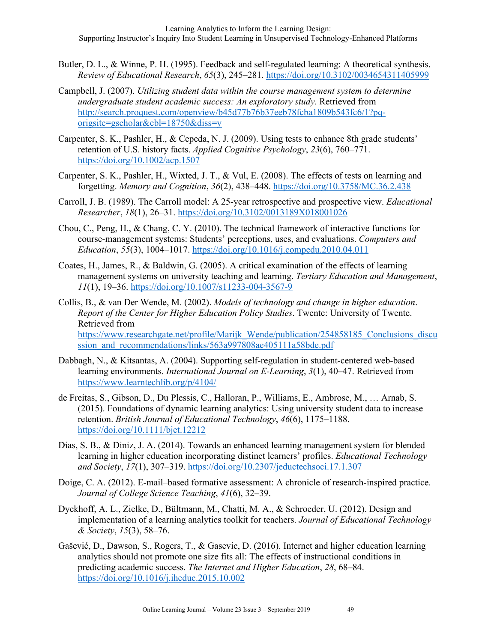- Butler, D. L., & Winne, P. H. (1995). Feedback and self-regulated learning: A theoretical synthesis. *Review of Educational Research*, *65*(3), 245–281. https://doi.org/10.3102/0034654311405999
- Campbell, J. (2007). *Utilizing student data within the course management system to determine undergraduate student academic success: An exploratory study*. Retrieved from http://search.proquest.com/openview/b45d77b76b37eeb78fcba1809b543fc6/1?pqorigsite=gscholar&cbl=18750&diss=y
- Carpenter, S. K., Pashler, H., & Cepeda, N. J. (2009). Using tests to enhance 8th grade students' retention of U.S. history facts. *Applied Cognitive Psychology*, *23*(6), 760–771. https://doi.org/10.1002/acp.1507
- Carpenter, S. K., Pashler, H., Wixted, J. T., & Vul, E. (2008). The effects of tests on learning and forgetting. *Memory and Cognition*, *36*(2), 438–448. https://doi.org/10.3758/MC.36.2.438
- Carroll, J. B. (1989). The Carroll model: A 25-year retrospective and prospective view. *Educational Researcher*, *18*(1), 26–31. https://doi.org/10.3102/0013189X018001026
- Chou, C., Peng, H., & Chang, C. Y. (2010). The technical framework of interactive functions for course-management systems: Students' perceptions, uses, and evaluations. *Computers and Education*, *55*(3), 1004–1017. https://doi.org/10.1016/j.compedu.2010.04.011
- Coates, H., James, R., & Baldwin, G. (2005). A critical examination of the effects of learning management systems on university teaching and learning. *Tertiary Education and Management*, *11*(1), 19–36. https://doi.org/10.1007/s11233-004-3567-9
- Collis, B., & van Der Wende, M. (2002). *Models of technology and change in higher education*. *Report of the Center for Higher Education Policy Studies*. Twente: University of Twente. Retrieved from https://www.researchgate.net/profile/Marijk\_Wende/publication/254858185\_Conclusions\_discu ssion and recommendations/links/563a997808ae405111a58bde.pdf
- Dabbagh, N., & Kitsantas, A. (2004). Supporting self-regulation in student-centered web-based learning environments. *International Journal on E-Learning*, *3*(1), 40–47. Retrieved from https://www.learntechlib.org/p/4104/
- de Freitas, S., Gibson, D., Du Plessis, C., Halloran, P., Williams, E., Ambrose, M., … Arnab, S. (2015). Foundations of dynamic learning analytics: Using university student data to increase retention. *British Journal of Educational Technology*, *46*(6), 1175–1188. https://doi.org/10.1111/bjet.12212
- Dias, S. B., & Diniz, J. A. (2014). Towards an enhanced learning management system for blended learning in higher education incorporating distinct learners' profiles. *Educational Technology and Society*, *17*(1), 307–319. https://doi.org/10.2307/jeductechsoci.17.1.307
- Doige, C. A. (2012). E-mail–based formative assessment: A chronicle of research-inspired practice. *Journal of College Science Teaching*, *41*(6), 32–39.
- Dyckhoff, A. L., Zielke, D., Bültmann, M., Chatti, M. A., & Schroeder, U. (2012). Design and implementation of a learning analytics toolkit for teachers. *Journal of Educational Technology & Society*, *15*(3), 58–76.
- Gašević, D., Dawson, S., Rogers, T., & Gasevic, D. (2016). Internet and higher education learning analytics should not promote one size fits all: The effects of instructional conditions in predicting academic success. *The Internet and Higher Education*, *28*, 68–84. https://doi.org/10.1016/j.iheduc.2015.10.002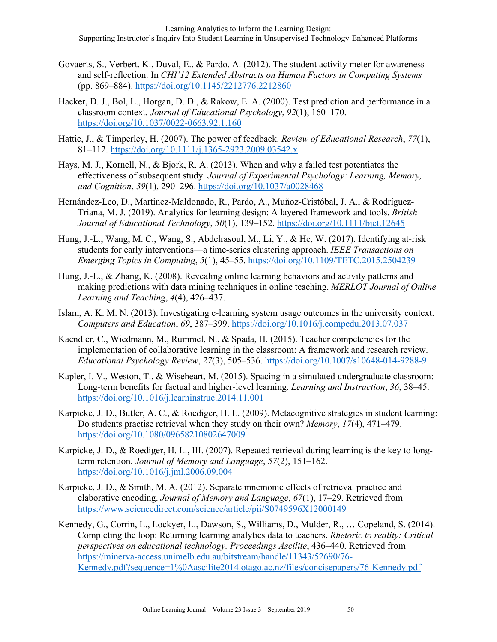- Govaerts, S., Verbert, K., Duval, E., & Pardo, A. (2012). The student activity meter for awareness and self-reflection. In *CHI'12 Extended Abstracts on Human Factors in Computing Systems* (pp. 869–884). https://doi.org/10.1145/2212776.2212860
- Hacker, D. J., Bol, L., Horgan, D. D., & Rakow, E. A. (2000). Test prediction and performance in a classroom context. *Journal of Educational Psychology*, *92*(1), 160–170. https://doi.org/10.1037/0022-0663.92.1.160
- Hattie, J., & Timperley, H. (2007). The power of feedback. *Review of Educational Research*, *77*(1), 81–112. https://doi.org/10.1111/j.1365-2923.2009.03542.x
- Hays, M. J., Kornell, N., & Bjork, R. A. (2013). When and why a failed test potentiates the effectiveness of subsequent study. *Journal of Experimental Psychology: Learning, Memory, and Cognition*, *39*(1), 290–296. https://doi.org/10.1037/a0028468
- Hernández-Leo, D., Martinez-Maldonado, R., Pardo, A., Muñoz-Cristóbal, J. A., & Rodríguez-Triana, M. J. (2019). Analytics for learning design: A layered framework and tools. *British Journal of Educational Technology*, *50*(1), 139–152. https://doi.org/10.1111/bjet.12645
- Hung, J.-L., Wang, M. C., Wang, S., Abdelrasoul, M., Li, Y., & He, W. (2017). Identifying at-risk students for early interventions—a time-series clustering approach. *IEEE Transactions on Emerging Topics in Computing*, *5*(1), 45–55. https://doi.org/10.1109/TETC.2015.2504239
- Hung, J.-L., & Zhang, K. (2008). Revealing online learning behaviors and activity patterns and making predictions with data mining techniques in online teaching. *MERLOT Journal of Online Learning and Teaching*, *4*(4), 426–437.
- Islam, A. K. M. N. (2013). Investigating e-learning system usage outcomes in the university context. *Computers and Education*, *69*, 387–399. https://doi.org/10.1016/j.compedu.2013.07.037
- Kaendler, C., Wiedmann, M., Rummel, N., & Spada, H. (2015). Teacher competencies for the implementation of collaborative learning in the classroom: A framework and research review. *Educational Psychology Review*, *27*(3), 505–536. https://doi.org/10.1007/s10648-014-9288-9
- Kapler, I. V., Weston, T., & Wiseheart, M. (2015). Spacing in a simulated undergraduate classroom: Long-term benefits for factual and higher-level learning. *Learning and Instruction*, *36*, 38–45. https://doi.org/10.1016/j.learninstruc.2014.11.001
- Karpicke, J. D., Butler, A. C., & Roediger, H. L. (2009). Metacognitive strategies in student learning: Do students practise retrieval when they study on their own? *Memory*, *17*(4), 471–479. https://doi.org/10.1080/09658210802647009
- Karpicke, J. D., & Roediger, H. L., III. (2007). Repeated retrieval during learning is the key to longterm retention. *Journal of Memory and Language*, *57*(2), 151–162. https://doi.org/10.1016/j.jml.2006.09.004
- Karpicke, J. D., & Smith, M. A. (2012). Separate mnemonic effects of retrieval practice and elaborative encoding. *Journal of Memory and Language, 67*(1), 17–29. Retrieved from https://www.sciencedirect.com/science/article/pii/S0749596X12000149
- Kennedy, G., Corrin, L., Lockyer, L., Dawson, S., Williams, D., Mulder, R., … Copeland, S. (2014). Completing the loop: Returning learning analytics data to teachers. *Rhetoric to reality: Critical perspectives on educational technology. Proceedings Ascilite*, 436–440. Retrieved from https://minerva-access.unimelb.edu.au/bitstream/handle/11343/52690/76- Kennedy.pdf?sequence=1%0Aascilite2014.otago.ac.nz/files/concisepapers/76-Kennedy.pdf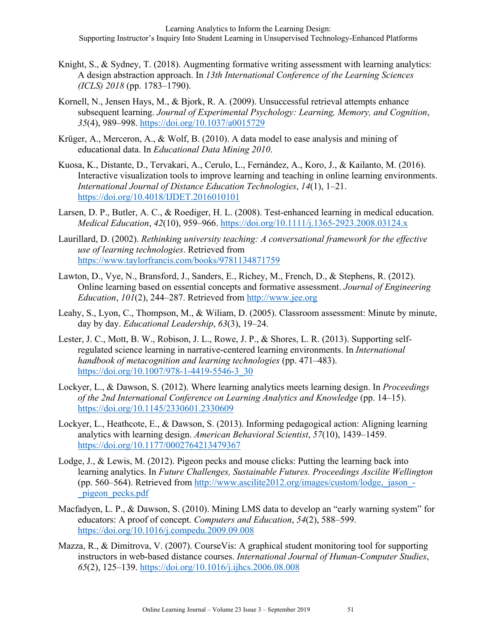- Knight, S., & Sydney, T. (2018). Augmenting formative writing assessment with learning analytics: A design abstraction approach. In *13th International Conference of the Learning Sciences (ICLS) 2018* (pp. 1783–1790).
- Kornell, N., Jensen Hays, M., & Bjork, R. A. (2009). Unsuccessful retrieval attempts enhance subsequent learning. *Journal of Experimental Psychology: Learning, Memory, and Cognition*, *35*(4), 989–998. https://doi.org/10.1037/a0015729
- Krüger, A., Merceron, A., & Wolf, B. (2010). A data model to ease analysis and mining of educational data. In *Educational Data Mining 2010*.
- Kuosa, K., Distante, D., Tervakari, A., Cerulo, L., Fernández, A., Koro, J., & Kailanto, M. (2016). Interactive visualization tools to improve learning and teaching in online learning environments. *International Journal of Distance Education Technologies*, *14*(1), 1–21. https://doi.org/10.4018/IJDET.2016010101
- Larsen, D. P., Butler, A. C., & Roediger, H. L. (2008). Test-enhanced learning in medical education. *Medical Education*, *42*(10), 959–966. https://doi.org/10.1111/j.1365-2923.2008.03124.x
- Laurillard, D. (2002). *Rethinking university teaching: A conversational framework for the effective use of learning technologies*. Retrieved from https://www.taylorfrancis.com/books/9781134871759
- Lawton, D., Vye, N., Bransford, J., Sanders, E., Richey, M., French, D., & Stephens, R. (2012). Online learning based on essential concepts and formative assessment. *Journal of Engineering Education*, *101*(2), 244–287. Retrieved from http://www.jee.org
- Leahy, S., Lyon, C., Thompson, M., & Wiliam, D. (2005). Classroom assessment: Minute by minute, day by day. *Educational Leadership*, *63*(3), 19–24.
- Lester, J. C., Mott, B. W., Robison, J. L., Rowe, J. P., & Shores, L. R. (2013). Supporting selfregulated science learning in narrative-centered learning environments. In *International handbook of metacognition and learning technologies* (pp. 471–483). https://doi.org/10.1007/978-1-4419-5546-3\_30
- Lockyer, L., & Dawson, S. (2012). Where learning analytics meets learning design. In *Proceedings of the 2nd International Conference on Learning Analytics and Knowledge* (pp. 14–15). https://doi.org/10.1145/2330601.2330609
- Lockyer, L., Heathcote, E., & Dawson, S. (2013). Informing pedagogical action: Aligning learning analytics with learning design. *American Behavioral Scientist*, *57*(10), 1439–1459. https://doi.org/10.1177/0002764213479367
- Lodge, J., & Lewis, M. (2012). Pigeon pecks and mouse clicks: Putting the learning back into learning analytics. In *Future Challenges, Sustainable Futures. Proceedings Ascilite Wellington* (pp. 560–564). Retrieved from http://www.ascilite2012.org/images/custom/lodge,\_jason\_- \_pigeon\_pecks.pdf
- Macfadyen, L. P., & Dawson, S. (2010). Mining LMS data to develop an "early warning system" for educators: A proof of concept. *Computers and Education*, *54*(2), 588–599. https://doi.org/10.1016/j.compedu.2009.09.008
- Mazza, R., & Dimitrova, V. (2007). CourseVis: A graphical student monitoring tool for supporting instructors in web-based distance courses. *International Journal of Human-Computer Studies*, *65*(2), 125–139. https://doi.org/10.1016/j.ijhcs.2006.08.008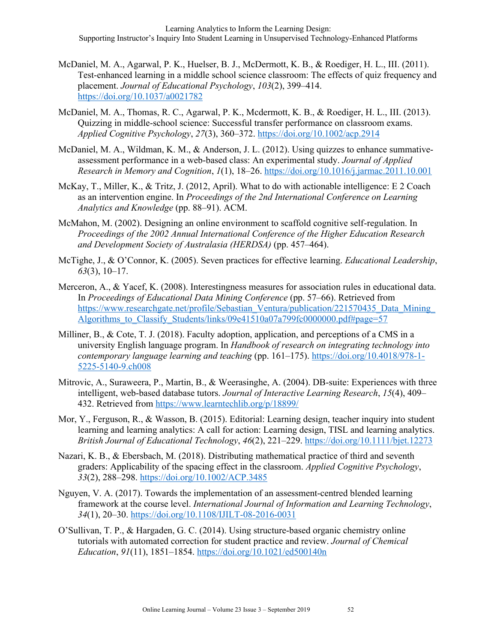- McDaniel, M. A., Agarwal, P. K., Huelser, B. J., McDermott, K. B., & Roediger, H. L., III. (2011). Test-enhanced learning in a middle school science classroom: The effects of quiz frequency and placement. *Journal of Educational Psychology*, *103*(2), 399–414. https://doi.org/10.1037/a0021782
- McDaniel, M. A., Thomas, R. C., Agarwal, P. K., Mcdermott, K. B., & Roediger, H. L., III. (2013). Quizzing in middle-school science: Successful transfer performance on classroom exams. *Applied Cognitive Psychology*, *27*(3), 360–372. https://doi.org/10.1002/acp.2914
- McDaniel, M. A., Wildman, K. M., & Anderson, J. L. (2012). Using quizzes to enhance summativeassessment performance in a web-based class: An experimental study. *Journal of Applied Research in Memory and Cognition*, *1*(1), 18–26. https://doi.org/10.1016/j.jarmac.2011.10.001
- McKay, T., Miller, K., & Tritz, J. (2012, April). What to do with actionable intelligence: E 2 Coach as an intervention engine. In *Proceedings of the 2nd International Conference on Learning Analytics and Knowledge* (pp. 88–91). ACM.
- McMahon, M. (2002). Designing an online environment to scaffold cognitive self-regulation. In *Proceedings of the 2002 Annual International Conference of the Higher Education Research and Development Society of Australasia (HERDSA)* (pp. 457–464).
- McTighe, J., & O'Connor, K. (2005). Seven practices for effective learning. *Educational Leadership*, *63*(3), 10–17.
- Merceron, A., & Yacef, K. (2008). Interestingness measures for association rules in educational data. In *Proceedings of Educational Data Mining Conference* (pp. 57–66). Retrieved from https://www.researchgate.net/profile/Sebastian\_Ventura/publication/221570435\_Data\_Mining Algorithms to Classify Students/links/09e41510a07a799fc0000000.pdf#page=57
- Milliner, B., & Cote, T. J. (2018). Faculty adoption, application, and perceptions of a CMS in a university English language program. In *Handbook of research on integrating technology into contemporary language learning and teaching* (pp. 161–175). https://doi.org/10.4018/978-1- 5225-5140-9.ch008
- Mitrovic, A., Suraweera, P., Martin, B., & Weerasinghe, A. (2004). DB-suite: Experiences with three intelligent, web-based database tutors. *Journal of Interactive Learning Research*, *15*(4), 409– 432. Retrieved from https://www.learntechlib.org/p/18899/
- Mor, Y., Ferguson, R., & Wasson, B. (2015). Editorial: Learning design, teacher inquiry into student learning and learning analytics: A call for action: Learning design, TISL and learning analytics. *British Journal of Educational Technology*, *46*(2), 221–229. https://doi.org/10.1111/bjet.12273
- Nazari, K. B., & Ebersbach, M. (2018). Distributing mathematical practice of third and seventh graders: Applicability of the spacing effect in the classroom. *Applied Cognitive Psychology*, *33*(2), 288–298. https://doi.org/10.1002/ACP.3485
- Nguyen, V. A. (2017). Towards the implementation of an assessment-centred blended learning framework at the course level. *International Journal of Information and Learning Technology*, *34*(1), 20–30. https://doi.org/10.1108/IJILT-08-2016-0031
- O'Sullivan, T. P., & Hargaden, G. C. (2014). Using structure-based organic chemistry online tutorials with automated correction for student practice and review. *Journal of Chemical Education*, *91*(11), 1851–1854. https://doi.org/10.1021/ed500140n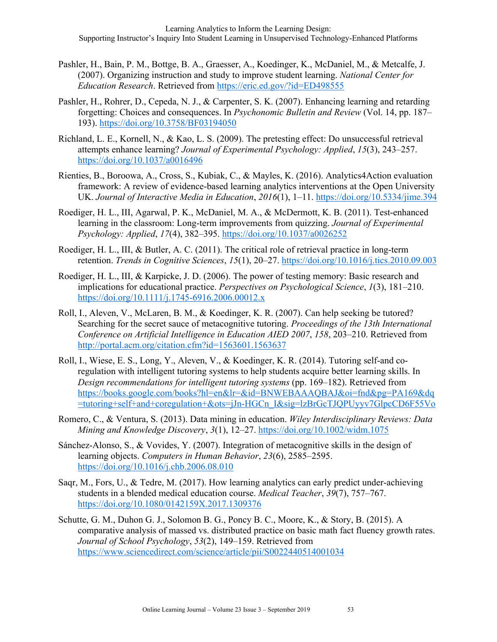- Pashler, H., Bain, P. M., Bottge, B. A., Graesser, A., Koedinger, K., McDaniel, M., & Metcalfe, J. (2007). Organizing instruction and study to improve student learning. *National Center for Education Research*. Retrieved from https://eric.ed.gov/?id=ED498555
- Pashler, H., Rohrer, D., Cepeda, N. J., & Carpenter, S. K. (2007). Enhancing learning and retarding forgetting: Choices and consequences. In *Psychonomic Bulletin and Review* (Vol. 14, pp. 187– 193). https://doi.org/10.3758/BF03194050
- Richland, L. E., Kornell, N., & Kao, L. S. (2009). The pretesting effect: Do unsuccessful retrieval attempts enhance learning? *Journal of Experimental Psychology: Applied*, *15*(3), 243–257. https://doi.org/10.1037/a0016496
- Rienties, B., Boroowa, A., Cross, S., Kubiak, C., & Mayles, K. (2016). Analytics4Action evaluation framework: A review of evidence-based learning analytics interventions at the Open University UK. *Journal of Interactive Media in Education*, *2016*(1), 1–11. https://doi.org/10.5334/jime.394
- Roediger, H. L., III, Agarwal, P. K., McDaniel, M. A., & McDermott, K. B. (2011). Test-enhanced learning in the classroom: Long-term improvements from quizzing. *Journal of Experimental Psychology: Applied*, *17*(4), 382–395. https://doi.org/10.1037/a0026252
- Roediger, H. L., III, & Butler, A. C. (2011). The critical role of retrieval practice in long-term retention. *Trends in Cognitive Sciences*, *15*(1), 20–27. https://doi.org/10.1016/j.tics.2010.09.003
- Roediger, H. L., III, & Karpicke, J. D. (2006). The power of testing memory: Basic research and implications for educational practice. *Perspectives on Psychological Science*, *1*(3), 181–210. https://doi.org/10.1111/j.1745-6916.2006.00012.x
- Roll, I., Aleven, V., McLaren, B. M., & Koedinger, K. R. (2007). Can help seeking be tutored? Searching for the secret sauce of metacognitive tutoring. *Proceedings of the 13th International Conference on Artificial Intelligence in Education AIED 2007*, *158*, 203–210. Retrieved from http://portal.acm.org/citation.cfm?id=1563601.1563637
- Roll, I., Wiese, E. S., Long, Y., Aleven, V., & Koedinger, K. R. (2014). Tutoring self-and coregulation with intelligent tutoring systems to help students acquire better learning skills. In *Design recommendations for intelligent tutoring systems* (pp. 169–182). Retrieved from https://books.google.com/books?hl=en&lr=&id=BNWEBAAAQBAJ&oi=fnd&pg=PA169&dq =tutoring+self+and+coregulation+&ots=jJn-HGCn\_I&sig=lzBrGcTJQPUyyv7GlpcCD6F55Vo
- Romero, C., & Ventura, S. (2013). Data mining in education. *Wiley Interdisciplinary Reviews: Data Mining and Knowledge Discovery*, *3*(1), 12–27. https://doi.org/10.1002/widm.1075
- Sánchez-Alonso, S., & Vovides, Y. (2007). Integration of metacognitive skills in the design of learning objects. *Computers in Human Behavior*, *23*(6), 2585–2595. https://doi.org/10.1016/j.chb.2006.08.010
- Saqr, M., Fors, U., & Tedre, M. (2017). How learning analytics can early predict under-achieving students in a blended medical education course. *Medical Teacher*, *39*(7), 757–767. https://doi.org/10.1080/0142159X.2017.1309376
- Schutte, G. M., Duhon G. J., Solomon B. G., Poncy B. C., Moore, K., & Story, B. (2015). A comparative analysis of massed vs. distributed practice on basic math fact fluency growth rates. *Journal of School Psychology*, *53*(2), 149–159. Retrieved from https://www.sciencedirect.com/science/article/pii/S0022440514001034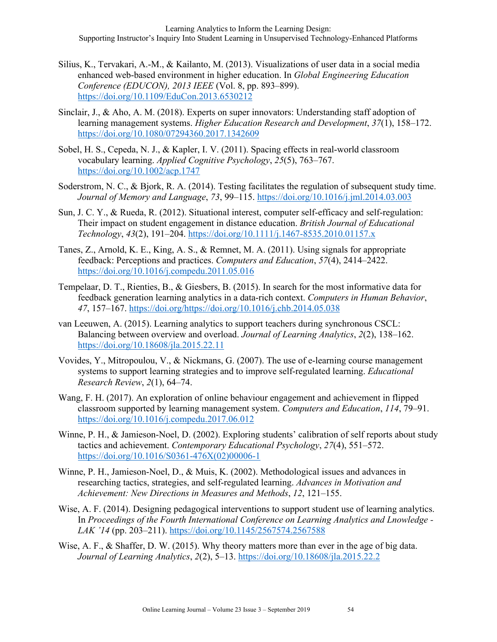- Silius, K., Tervakari, A.-M., & Kailanto, M. (2013). Visualizations of user data in a social media enhanced web-based environment in higher education. In *Global Engineering Education Conference (EDUCON), 2013 IEEE* (Vol. 8, pp. 893–899). https://doi.org/10.1109/EduCon.2013.6530212
- Sinclair, J., & Aho, A. M. (2018). Experts on super innovators: Understanding staff adoption of learning management systems. *Higher Education Research and Development*, *37*(1), 158–172. https://doi.org/10.1080/07294360.2017.1342609
- Sobel, H. S., Cepeda, N. J., & Kapler, I. V. (2011). Spacing effects in real-world classroom vocabulary learning. *Applied Cognitive Psychology*, *25*(5), 763–767. https://doi.org/10.1002/acp.1747
- Soderstrom, N. C., & Bjork, R. A. (2014). Testing facilitates the regulation of subsequent study time. *Journal of Memory and Language*, *73*, 99–115. https://doi.org/10.1016/j.jml.2014.03.003
- Sun, J. C. Y., & Rueda, R. (2012). Situational interest, computer self-efficacy and self-regulation: Their impact on student engagement in distance education. *British Journal of Educational Technology*, *43*(2), 191–204. https://doi.org/10.1111/j.1467-8535.2010.01157.x
- Tanes, Z., Arnold, K. E., King, A. S., & Remnet, M. A. (2011). Using signals for appropriate feedback: Perceptions and practices. *Computers and Education*, *57*(4), 2414–2422. https://doi.org/10.1016/j.compedu.2011.05.016
- Tempelaar, D. T., Rienties, B., & Giesbers, B. (2015). In search for the most informative data for feedback generation learning analytics in a data-rich context. *Computers in Human Behavior*, *47*, 157–167. https://doi.org/https://doi.org/10.1016/j.chb.2014.05.038
- van Leeuwen, A. (2015). Learning analytics to support teachers during synchronous CSCL: Balancing between overview and overload. *Journal of Learning Analytics*, *2*(2), 138–162. https://doi.org/10.18608/jla.2015.22.11
- Vovides, Y., Mitropoulou, V., & Nickmans, G. (2007). The use of e-learning course management systems to support learning strategies and to improve self-regulated learning. *Educational Research Review*, *2*(1), 64–74.
- Wang, F. H. (2017). An exploration of online behaviour engagement and achievement in flipped classroom supported by learning management system. *Computers and Education*, *114*, 79–91. https://doi.org/10.1016/j.compedu.2017.06.012
- Winne, P. H., & Jamieson-Noel, D. (2002). Exploring students' calibration of self reports about study tactics and achievement. *Contemporary Educational Psychology*, *27*(4), 551–572. https://doi.org/10.1016/S0361-476X(02)00006-1
- Winne, P. H., Jamieson-Noel, D., & Muis, K. (2002). Methodological issues and advances in researching tactics, strategies, and self-regulated learning. *Advances in Motivation and Achievement: New Directions in Measures and Methods*, *12*, 121–155.
- Wise, A. F. (2014). Designing pedagogical interventions to support student use of learning analytics. In *Proceedings of the Fourth International Conference on Learning Analytics and Lnowledge - LAK '14* (pp. 203–211). https://doi.org/10.1145/2567574.2567588
- Wise, A. F., & Shaffer, D. W. (2015). Why theory matters more than ever in the age of big data. *Journal of Learning Analytics*, *2*(2), 5–13. https://doi.org/10.18608/jla.2015.22.2